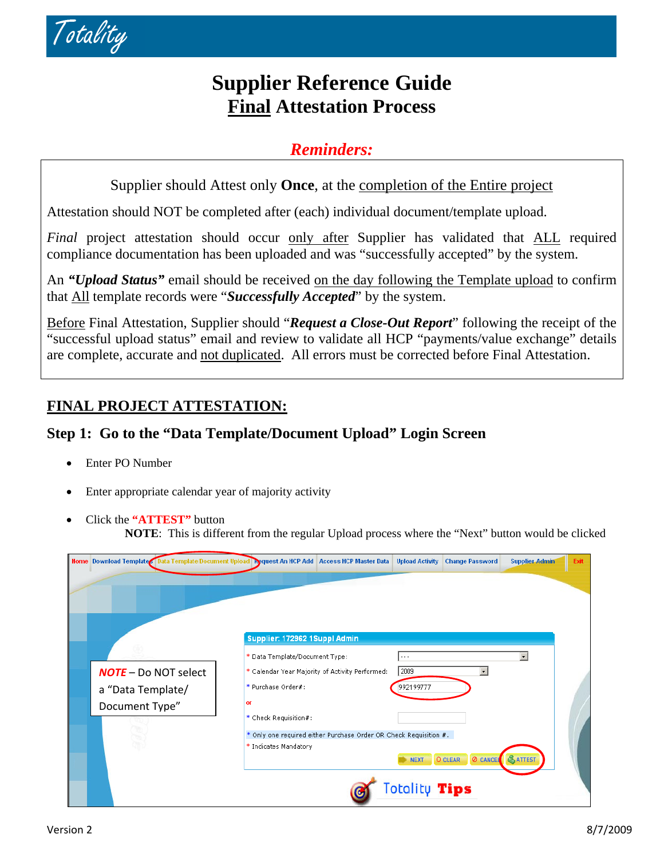

# **Supplier Reference Guide Final Attestation Process**

### *Reminders:*

Supplier should Attest only **Once**, at the completion of the Entire project

Attestation should NOT be completed after (each) individual document/template upload.

*Final* project attestation should occur only after Supplier has validated that ALL required compliance documentation has been uploaded and was "successfully accepted" by the system.

An *"Upload Status"* email should be received on the day following the Template upload to confirm that All template records were "*Successfully Accepted*" by the system.

Before Final Attestation, Supplier should "*Request a Close-Out Report*" following the receipt of the "successful upload status" email and review to validate all HCP "payments/value exchange" details are complete, accurate and not duplicated. All errors must be corrected before Final Attestation.

## **FINAL PROJECT ATTESTATION:**

### **Step 1: Go to the "Data Template/Document Upload" Login Screen**

- Enter PO Number
- Enter appropriate calendar year of majority activity
- Click the **"ATTEST"** button
	- **NOTE**: This is different from the regular Upload process where the "Next" button would be clicked

| Home Download Templates Data Template/Document Upload Request An HCP Add   Access HCP Master Data |                                |                                                                   | <b>Upload Activity</b> | <b>Change Password</b>     | <b>Supplier Admin</b> | Exit |
|---------------------------------------------------------------------------------------------------|--------------------------------|-------------------------------------------------------------------|------------------------|----------------------------|-----------------------|------|
|                                                                                                   |                                |                                                                   |                        |                            |                       |      |
|                                                                                                   | Supplier: 172962 1Suppl Admin  |                                                                   |                        |                            |                       |      |
|                                                                                                   | * Data Template/Document Type: |                                                                   | $\cdots$               |                            | $\bullet$             |      |
| <b>NOTE</b> – Do NOT select                                                                       |                                | * Calendar Year Majority of Activity Performed:                   | 2009                   | $\ddot{}$                  |                       |      |
| a "Data Template/                                                                                 | * Purchase Order#:             |                                                                   | 992199777              |                            |                       |      |
| Document Type"                                                                                    | оr                             |                                                                   |                        |                            |                       |      |
|                                                                                                   | * Check Requisition#:          |                                                                   |                        |                            |                       |      |
|                                                                                                   |                                | * Only one required either Purchase Order OR Check Requisition #. |                        |                            |                       |      |
|                                                                                                   | * Indicates Mandatory          |                                                                   | <b>NEXT</b>            | <b>Ø CANCEL</b><br>O CLEAR | <b>&amp;ATTEST</b>    |      |
|                                                                                                   |                                |                                                                   | Totality Tips          |                            |                       |      |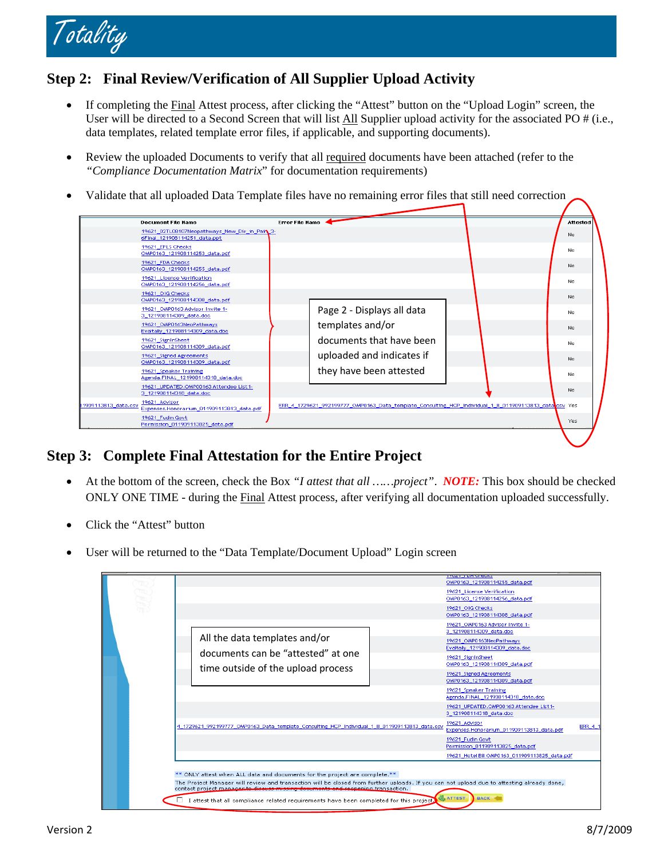

#### **Step 2: Final Review/Verification of All Supplier Upload Activity**

- If completing the Final Attest process, after clicking the "Attest" button on the "Upload Login" screen, the User will be directed to a Second Screen that will list All Supplier upload activity for the associated PO # (i.e., data templates, related template error files, if applicable, and supporting documents).
- Review the uploaded Documents to verify that all required documents have been attached (refer to the *"Compliance Documentation Matrix*" for documentation requirements)
- Validate that all uploaded Data Template files have no remaining error files that still need correction

|                     | <b>Document File Name</b>                                                     | Error File Name |                                                                                                       |  | Attested |  |
|---------------------|-------------------------------------------------------------------------------|-----------------|-------------------------------------------------------------------------------------------------------|--|----------|--|
|                     | 19621_02TL08107Neopathways_New_Dir_in_Pair 3-<br>6Final_121908114251_data.ppt |                 |                                                                                                       |  | No       |  |
|                     | 19621 EPLS Checks<br>OMP0163_121908114253_data.pdf                            |                 |                                                                                                       |  | No.      |  |
|                     | 19621_FDA Checks<br>OMP0163_121908114255_data.pdf                             |                 |                                                                                                       |  | No.      |  |
|                     | 19621 License Verification<br>OMP0163 121908114256 data.pdf                   |                 |                                                                                                       |  | No.      |  |
|                     | 19621 OIG Checks<br>OMP0163 121908114308 data.pdf                             |                 |                                                                                                       |  | No       |  |
|                     | 19621 OMP0163 Advisor Invite 1-<br>3 121908114309 data.doc                    |                 | Page 2 - Displays all data                                                                            |  | No.      |  |
|                     | 19621 OMP0163NeoPathways<br>Evaltally_121908114309_data.doc                   |                 | templates and/or                                                                                      |  | No.      |  |
|                     | 19621_SignInSheet<br>OMP0163_121908114309_data.pdf                            |                 | documents that have been                                                                              |  | No.      |  |
|                     | 19621 Signed Agreements<br>OMP0163 121908114309 data.pdf                      |                 | uploaded and indicates if                                                                             |  | No.      |  |
|                     | 19621_Speaker Training<br>Agenda.FINAL 121908114318 data.doc                  |                 | they have been attested                                                                               |  | No.      |  |
|                     | 19621 UPDATED.OMP00163 Attendee List1-<br>3_121908114318_data.doc             |                 |                                                                                                       |  | No       |  |
| 1909113813_data.csv | 19621_Advisor<br>Expenses.Honorarium_011909113813_data.pdf                    |                 | ERR_4_1729621_992199777_OMP0163_Data_template_Consulting_HCP_Individual_1_8_011909113813_data osv Yes |  |          |  |
|                     | 19621_Fudin Govt<br>Permission 011909113825 data.pdf                          |                 |                                                                                                       |  | Yes      |  |
|                     |                                                                               |                 |                                                                                                       |  |          |  |

#### **Step 3: Complete Final Attestation for the Entire Project**

- At the bottom of the screen, check the Box *"I attest that all ……project"*. *NOTE:* This box should be checked ONLY ONE TIME - during the Final Attest process, after verifying all documentation uploaded successfully.
- Click the "Attest" button
- User will be returned to the "Data Template/Document Upload" Login screen

|  |  |                                                                                                                                                                                                                                                                                                            |                                                                                               |  | <b>1702 F.T.DA CHECK:</b><br>OMP0163 121908114255 data.pdf        |                |  |  |  |
|--|--|------------------------------------------------------------------------------------------------------------------------------------------------------------------------------------------------------------------------------------------------------------------------------------------------------------|-----------------------------------------------------------------------------------------------|--|-------------------------------------------------------------------|----------------|--|--|--|
|  |  |                                                                                                                                                                                                                                                                                                            |                                                                                               |  | 19621 License Verification<br>OMP0163 121908114256 data.pdf       |                |  |  |  |
|  |  |                                                                                                                                                                                                                                                                                                            |                                                                                               |  | 19621 OIG Checks<br>OMP0163 121908114308 data.pdf                 |                |  |  |  |
|  |  |                                                                                                                                                                                                                                                                                                            | All the data templates and/or<br>documents can be "attested" at one                           |  | 19621_OMP0163 Advisor Invite 1-<br>3 121908114309 data.doc        |                |  |  |  |
|  |  |                                                                                                                                                                                                                                                                                                            |                                                                                               |  | 19621 OMP0163NeoPathways<br>Evaltally 121908114309 data.doc       |                |  |  |  |
|  |  |                                                                                                                                                                                                                                                                                                            |                                                                                               |  | 19621 SignInSheet<br>OMP0163_121908114309_data.pdf                |                |  |  |  |
|  |  |                                                                                                                                                                                                                                                                                                            | time outside of the upload process                                                            |  | 19621_Signed Agreements<br>OMP0163_121908114309_data.pdf          |                |  |  |  |
|  |  |                                                                                                                                                                                                                                                                                                            |                                                                                               |  | 19621 Speaker Training<br>Agenda,FINAL 121908114318 data.doc      |                |  |  |  |
|  |  |                                                                                                                                                                                                                                                                                                            |                                                                                               |  | 19621 UPDATED.OMP00163 Attendee List1-<br>3 121908114318 data.doc |                |  |  |  |
|  |  |                                                                                                                                                                                                                                                                                                            | 4 1729621 992199777 OMP0163 Data template Consulting HCP Individual 1 8 011909113813 data.csv |  | 19621 Advisor<br>Expenses.Honorarium_011909113813_data.pdf        | <b>ERR 4 1</b> |  |  |  |
|  |  |                                                                                                                                                                                                                                                                                                            |                                                                                               |  | 19621 Fudin Govt<br>Permission 011909113825 data.pdf              |                |  |  |  |
|  |  |                                                                                                                                                                                                                                                                                                            |                                                                                               |  | 19621 Hotel Bill OMP0163 011909113825 data.pdf                    |                |  |  |  |
|  |  | ** ONLY attest when ALL data and documents for the project are complete.**<br>The Project Manager will review and transaction will be closed from further uploads. If you can not upload due to attesting already done,<br>contact project manager to discuss missing decuments and reppening transaction. |                                                                                               |  |                                                                   |                |  |  |  |
|  |  |                                                                                                                                                                                                                                                                                                            | I attest that all compliance related requirements have been completed for this project.       |  | <b>BACK</b><br><b>ATTEST</b>                                      |                |  |  |  |